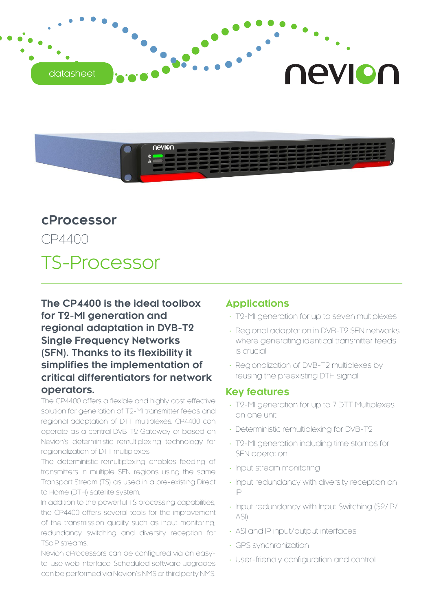



## **cProcessor**

CP4400

# TS-Processor

**The CP4400 is the ideal toolbox for T2-MI generation and regional adaptation in DVB-T2 Single Frequency Networks (SFN). Thanks to its flexibility it simplifies the implementation of critical differentiators for network operators.**

The CP4400 offers a flexible and highly cost effective solution for generation of T2-MI transmitter feeds and regional adaptation of DTT multiplexes. CP4400 can operate as a central DVB-T2 Gateway or based on Nevion's deterministic remultiplexing technology for regionalization of DTT multiplexes.

The deterministic remultiplexing enables feeding of transmitters in multiple SFN regions using the same Transport Stream (TS) as used in a pre-existing Direct to Home (DTH) satellite system.

In addition to the powerful TS processing capabilities, the CP4400 offers several tools for the improvement of the transmission quality such as input monitoring, redundancy switching and diversity reception for TSoIP streams.

Nevion cProcessors can be configured via an easyto-use web interface. Scheduled software upgrades can be performed via Nevion's NMS or third party NMS.

### **Applications**

- T2-MI generation for up to seven multiplexes
- Regional adaptation in DVB-T2 SFN networks where generating identical transmitter feeds is crucial
- Regionalization of DVB-T2 multiplexes by reusing the preexisting DTH signal

### **Key features**

- • T2-MI generation for up to 7 DTT Multiplexes on one unit
- Deterministic remultiplexing for DVB-T2
- T2-MI generation including time stamps for SFN operation
- Input stream monitoring
- Input redundancy with diversity reception on IP
- Input redundancy with Input Switching (S2/IP/ ASI)
- ASI and IP input/output interfaces
- • GPS synchronization
- User-friendly configuration and control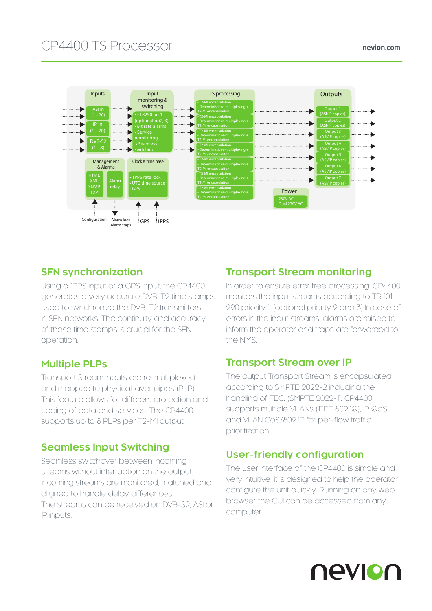## CP4400 TS Processor nevion.com



## **SFN synchronization**

Using a 1PPS input or a GPS input, the CP4400 generates a very accurate DVB-T2 time stamps used to synchronize the DVB-T2 transmitters in SFN networks. The continuity and accuracy of these time stamps is crucial for the SFN operation.

## **Multiple PLPs**

Transport Stream inputs are re-multiplexed and mapped to physical layer pipes (PLP). This feature allows for different protection and coding of data and services. The CP4400 supports up to 8 PLPs per T2-MI output.

## **Seamless Input Switching**

Seamless switchover between incoming streams without interruption on the output. Incoming streams are monitored, matched and aligned to handle delay differences. The streams can be received on DVB-S2, ASI or IP inputs.

### **Transport Stream monitoring**

In order to ensure error free processing, CP4400 monitors the input streams according to TR 101 290 priority 1. (optional priority 2 and 3) In case of errors in the input streams, alarms are raised to inform the operator and traps are forwarded to the NMS.

## **Transport Stream over IP**

The output Transport Stream is encapsulated according to SMPTE 2022-2 including the handling of FEC. (SMPTE 2022-1). CP4400 supports multiple VLANs (IEEE 802.1Q), IP QoS and VLAN CoS/802.1P for per-flow traffic prioritization.

## **User-friendly configuration**

The user interface of the CP4400 is simple and very intuitive, it is designed to help the operator configure the unit quickly. Running on any web browser the GUI can be accessed from any computer.

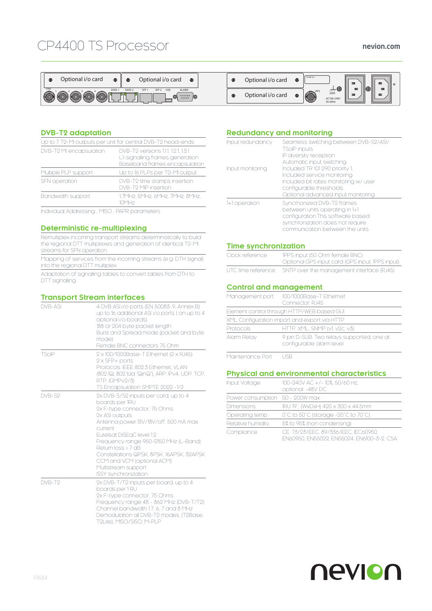## CP4400 TS Processor





#### **DVB-T2 adaptation**

| Up to 7 T2-MI outputs per unit for central DVB-T2 head-ends |                                                                                                         |  |
|-------------------------------------------------------------|---------------------------------------------------------------------------------------------------------|--|
| DVB-T2 MI encapsulation                                     | DVB-T2 versions 1.1.1. 1.2.1. 1.3.1<br>L1-signalling frames generation<br>Baseband frames encapsulation |  |
| Multiple PLP support                                        | Up to 16 PLPs per T2-MI output                                                                          |  |
| SFN operation                                               | DVB-T2 time stamps insertion<br>DVB-T2 MIP insertion                                                    |  |
| Bandwidth support                                           | 1.7MHz. 5MHz. 6MHz. 7MHz. 8MHz.<br>10MH <sub>7</sub>                                                    |  |

Individual Addressing , MISO , PAPR parameters

#### **Deterministic re-multiplexing**

Remultiplex incoming transport streams deterministically to build the regional DTT multiplexes and generation of identical T2-MI streams for SFN operation.

Mapping of services from the incoming streams (e.g. DTH signal) into the regional DTT multiplex.

Adaptation of signalling tables to convert tables from DTH to DTT signalling.

#### **Transport Stream interfaces**

| DVB-ASI | 4 DVB ASI i/o ports (EN 50083-9, Annex B)<br>up to 16 additional ASI i/o ports (on up to 4<br>optional i/o boards)<br>188 or 204 byte packet length<br>Burst and Spread mode (packet and byte<br>mode)<br>Female BNC connectors 75 Ohm                                                                                                                                                     |
|---------|--------------------------------------------------------------------------------------------------------------------------------------------------------------------------------------------------------------------------------------------------------------------------------------------------------------------------------------------------------------------------------------------|
| TSOIP   | 2 x 100/1000Base-T Ethernet (2 x RJ45)<br>$2 \times$ SFP+ ports<br>Protocols: IEEE 802.3 Ethernet, VLAN<br>(802.1Q, 802.1ad "QinQ"), ARP, IPv4, UDP, TCP,<br>RTP, IGMPv2/3)<br>TS Encapsulation SMPTE 2022 -1/2                                                                                                                                                                            |
| DVB-S2  | 2x DVB-S/S2 inputs per card, up to 4<br>boards per 1RU<br>2x F-type connector, 75 Ohms<br>2x ASI outputs<br>Antenna power.13V/18V/off, 500 mA max.<br>current<br>Eutelsat DiSEgC level 1.2<br>Frequency range 950-2150 MHz (L-Band)<br>Return loss > 7 dB<br>Constellations QPSK, 8PSK, 16APSK, 32APSK<br>CCM and VCM (optional ACM)<br>Multistream support<br><b>ISSY synchronization</b> |
| DVB-T9  | 2x DVB-T/T2 inputs per board, up to 4<br>boards per 1 RU<br>2x F-type connector, 75 Ohms<br>Frequency range 48 - 862 MHz (DVB-T/T2)<br>Channel bandwidth 1.7, 6, 7 and 8 MHz<br>Demodulation all DVB-T2 modes, (T2Base,<br>T2Lite), MISO/SISO, M-PLP                                                                                                                                       |

#### **Redundancy and monitoring**

| Input redundancy<br>Input monitoring | Seamless switching between DVB-S2/ASI/<br><b>TSOIP inputs</b><br>IP diversity reception<br>Automatic input switching<br>Included TR 101 290 priority 1,<br>Included service monitoring<br>Included bit rates monitoring w/ user<br>configurable thresholds<br>Optional advanced input monitoring |
|--------------------------------------|--------------------------------------------------------------------------------------------------------------------------------------------------------------------------------------------------------------------------------------------------------------------------------------------------|
| 1+1 operation                        | Syncrhonized DVB-T2 frames<br>between units operating in 1+1<br>configuration. This software based<br>synchronization does not require<br>communication between the units                                                                                                                        |

#### **Time synchronization**

| Clock reference    | 1PPS input (50 Ohm female BNC)                  |
|--------------------|-------------------------------------------------|
|                    | Optional GPS input card (GPS input, 1PPS input) |
| UTC time reference | SNTP over the management interface (RJ45)       |

#### **Control and management**

|                       | Management port 100/1000Base-T Ethernet<br>Connector R 145            |
|-----------------------|-----------------------------------------------------------------------|
|                       | Element control through HTTP/WEB based GUI                            |
|                       | XML Configuration import and export via HTTP                          |
| Protocols             | HTTP, XML, SNMP (v1, v2c, v3)                                         |
| Alarm Relay           | 9 pin D-SUB. Two relays supported; one at<br>configurable alarm level |
| Madaka a sanaran Dauk |                                                                       |

Maintenance Port USB

#### **Physical and environmental characteristics**

| Input Voltage                   | 100-240V AC +/- 10%, 50/60 Hz,<br>optional: -48V DC                                |
|---------------------------------|------------------------------------------------------------------------------------|
| Power consumption 50 - 200W max |                                                                                    |
| <b>Dimensions</b>               | 1RU 19", (WxDxH) 420 x 300 x 44.5mm                                                |
| Operating temp.                 | 0°C to 50°C (storage -20°C to 70°C)                                                |
| Relative humidity               | 5% to 95% (non condensing)                                                         |
| Compliance                      | CE: 73/23/EEC, 89/336/EEC, IEC60950,<br>EN60950, EN55022, EN55024, EN6100-3-2, CSA |